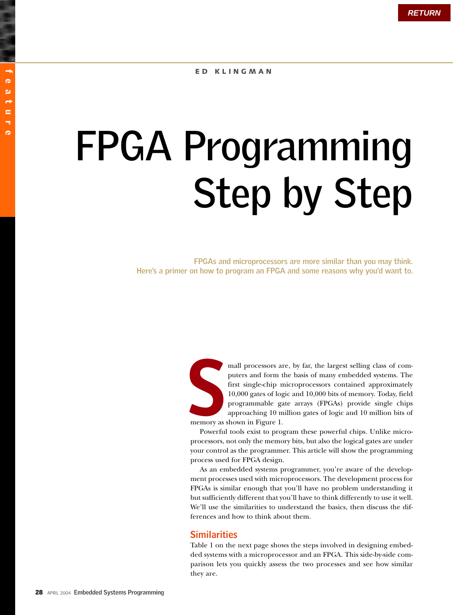# feature ര ( ىم ē ÷ ര

# **FPGA Programming Step by Step**

**FPGAs and microprocessors are more similar than you may think. Here's a primer on how to program an FPGA and some reasons why you'd want to.**

**S**

mall processors are, by far, the largest selling class of computers and form the basis of many embedded systems. The first single-chip microprocessors contained approximately 10,000 gates of logic and 10,000 bits of memory. Today, field programmable gate arrays (FPGAs) provide single chips approaching 10 million gates of logic and 10 million bits of memory as shown in Figure 1.

Powerful tools exist to program these powerful chips. Unlike microprocessors, not only the memory bits, but also the logical gates are under your control as the programmer. This article will show the programming process used for FPGA design.

As an embedded systems programmer, you're aware of the development processes used with microprocessors. The development process for FPGAs is similar enough that you'll have no problem understanding it but sufficiently different that you'll have to think differently to use it well. We'll use the similarities to understand the basics, then discuss the differences and how to think about them.

# **Similarities**

Table 1 on the next page shows the steps involved in designing embedded systems with a microprocessor and an FPGA. This side-by-side comparison lets you quickly assess the two processes and see how similar they are.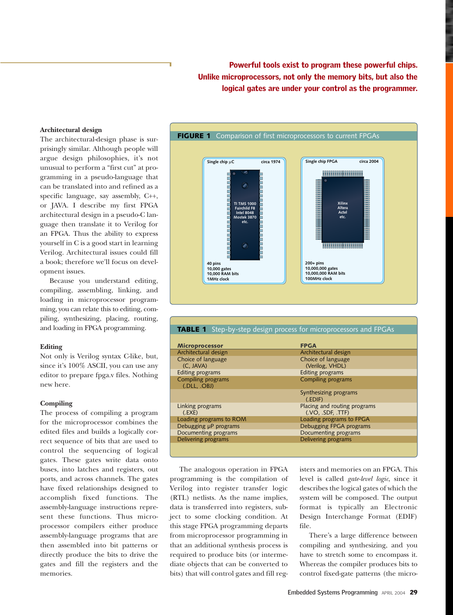Powerful tools exist to program these powerful chips. Unlike microprocessors, not only the memory bits, but also the logical gates are under your control as the programmer.

## **Architectural design**

The architectural-design phase is surprisingly similar. Although people will argue design philosophies, it's not unusual to perform a "first cut" at programming in a pseudo-language that can be translated into and refined as a specific language, say assembly, C++, or JAVA. I describe my first FPGA architectural design in a pseudo-C language then translate it to Verilog for an FPGA. Thus the ability to express yourself in C is a good start in learning Verilog. Architectural issues could fill a book; therefore we'll focus on development issues.

Because you understand editing, compiling, assembling, linking, and loading in microprocessor programming, you can relate this to editing, compiling, synthesizing, placing, routing, and loading in FPGA programming.

### **Editing**

Not only is Verilog syntax C-like, but, since it's 100% ASCII, you can use any editor to prepare fpga.v files. Nothing new here.

## **Compiling**

The process of compiling a program for the microprocessor combines the edited files and builds a logically correct sequence of bits that are used to control the sequencing of logical gates. These gates write data onto buses, into latches and registers, out ports, and across channels. The gates have fixed relationships designed to accomplish fixed functions. The assembly-language instructions represent these functions. Thus microprocessor compilers either produce assembly-language programs that are then assembled into bit patterns or directly produce the bits to drive the gates and fill the registers and the memories.



| <b>TABLE 1</b> Step-by-step design process for microprocessors and FPGAs |                              |
|--------------------------------------------------------------------------|------------------------------|
|                                                                          |                              |
|                                                                          |                              |
| <b>Microprocessor</b>                                                    | <b>FPGA</b>                  |
| Architectural design                                                     | Architectural design         |
| Choice of language                                                       | Choice of language           |
| (C, JAVA)                                                                | (Verilog, VHDL)              |
| <b>Editing programs</b>                                                  | Editing programs             |
| <b>Compiling programs</b>                                                | <b>Compiling programs</b>    |
| (.DLL, .OBJ)                                                             |                              |
|                                                                          | Synthesizing programs        |
|                                                                          | (EDIF)                       |
| Linking programs                                                         | Placing and routing programs |
| (EXE)                                                                    | (VO, SDF, TTF)               |
| Loading programs to ROM                                                  | Loading programs to FPGA     |
| Debugging µP programs                                                    | Debugging FPGA programs      |
| Documenting programs                                                     | Documenting programs         |
| Delivering programs                                                      | Delivering programs          |
|                                                                          |                              |
|                                                                          |                              |

The analogous operation in FPGA programming is the compilation of Verilog into register transfer logic (RTL) netlists. As the name implies, data is transferred into registers, subject to some clocking condition. At this stage FPGA programming departs from microprocessor programming in that an additional synthesis process is required to produce bits (or intermediate objects that can be converted to bits) that will control gates and fill registers and memories on an FPGA. This level is called *gate-level logic*, since it describes the logical gates of which the system will be composed. The output format is typically an Electronic Design Interchange Format (EDIF) file.

There's a large difference between compiling and synthesizing, and you have to stretch some to encompass it. Whereas the compiler produces bits to control fixed-gate patterns (the micro-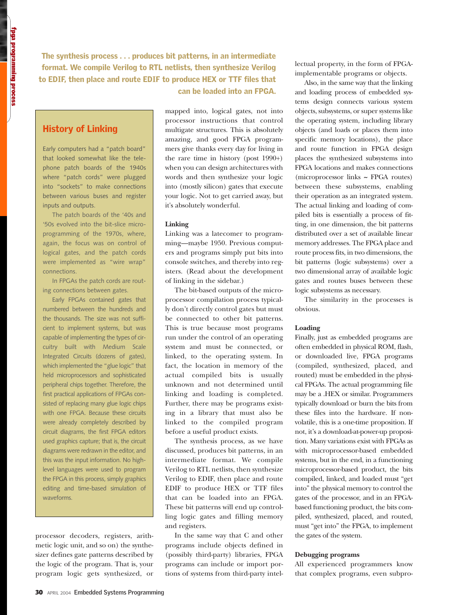The synthesis process . . . produces bit patterns, in an intermediate format. We compile Verilog to RTL netlists, then synthesize Verilog to EDIF, then place and route EDIF to produce HEX or TTF files that can be loaded into an FPGA.

# History of Linking

Early computers had a "patch board" that looked somewhat like the telephone patch boards of the 1940s where "patch cords" were plugged into "sockets" to make connections between various buses and register inputs and outputs.

The patch boards of the '40s and '50s evolved into the bit-slice microprogramming of the 1970s, where, again, the focus was on control of logical gates, and the patch cords were implemented as "wire wrap" connections.

In FPGAs the patch cords are routing connections between gates.

Early FPGAs contained gates that numbered between the hundreds and the thousands. The size was not sufficient to implement systems, but was capable of implementing the types of circuitry built with Medium Scale Integrated Circuits (dozens of gates), which implemented the "glue logic" that held microprocessors and sophisticated peripheral chips together. Therefore, the first practical applications of FPGAs consisted of replacing many glue logic chips with one FPGA. Because these circuits were already completely described by circuit diagrams, the first FPGA editors used graphics capture; that is, the circuit diagrams were redrawn in the editor, and this was the input information. No highlevel languages were used to program the FPGA in this process, simply graphics editing and time-based simulation of waveforms.

processor decoders, registers, arithmetic logic unit, and so on) the synthesizer defines gate patterns described by the logic of the program. That is, your program logic gets synthesized, or mapped into, logical gates, not into processor instructions that control multigate structures. This is absolutely amazing, and good FPGA programmers give thanks every day for living in the rare time in history (post 1990+) when you can design architectures with words and then synthesize your logic into (mostly silicon) gates that execute your logic. Not to get carried away, but it's absolutely wonderful.

## **Linking**

Linking was a latecomer to programming—maybe 1950. Previous computers and programs simply put bits into console switches, and thereby into registers. (Read about the development of linking in the sidebar.)

The bit-based outputs of the microprocessor compilation process typically don't directly control gates but must be connected to other bit patterns. This is true because most programs run under the control of an operating system and must be connected, or linked, to the operating system. In fact, the location in memory of the actual compiled bits is usually unknown and not determined until linking and loading is completed. Further, there may be programs existing in a library that must also be linked to the compiled program before a useful product exists.

The synthesis process, as we have discussed, produces bit patterns, in an intermediate format. We compile Verilog to RTL netlists, then synthesize Verilog to EDIF, then place and route EDIF to produce HEX or TTF files that can be loaded into an FPGA. These bit patterns will end up controlling logic gates and filling memory and registers.

In the same way that C and other programs include objects defined in (possibly third-party) libraries, FPGA programs can include or import portions of systems from third-party intellectual property, in the form of FPGAimplementable programs or objects.

Also, in the same way that the linking and loading process of embedded systems design connects various system objects, subsystems, or super systems like the operating system, including library objects (and loads or places them into specific memory locations), the place and route function in FPGA design places the synthesized subsystems into FPGA locations and makes connections (microprocessor links **~** FPGA routes) between these subsystems, enabling their operation as an integrated system. The actual linking and loading of compiled bits is essentially a process of fitting, in one dimension, the bit patterns distributed over a set of available linear memory addresses. The FPGA place and route process fits, in two dimensions, the bit patterns (logic subsystems) over a two dimensional array of available logic gates and routes buses between these logic subsystems as necessary.

The similarity in the processes is obvious.

### **Loading**

Finally, just as embedded programs are often embedded in physical ROM, flash, or downloaded live, FPGA programs (compiled, synthesized, placed, and routed) must be embedded in the physical FPGAs. The actual programming file may be a .HEX or similar. Programmers typically download or burn the bits from these files into the hardware. If nonvolatile, this is a one-time proposition. If not, it's a download-at-power-up proposition. Many variations exist with FPGAs as with microprocessor-based embedded systems, but in the end, in a functioning microprocessor-based product, the bits compiled, linked, and loaded must "get into" the physical memory to control the gates of the processor, and in an FPGAbased functioning product, the bits compiled, synthesized, placed, and routed, must "get into" the FPGA, to implement the gates of the system.

#### **Debugging programs**

All experienced programmers know that complex programs, even subpro-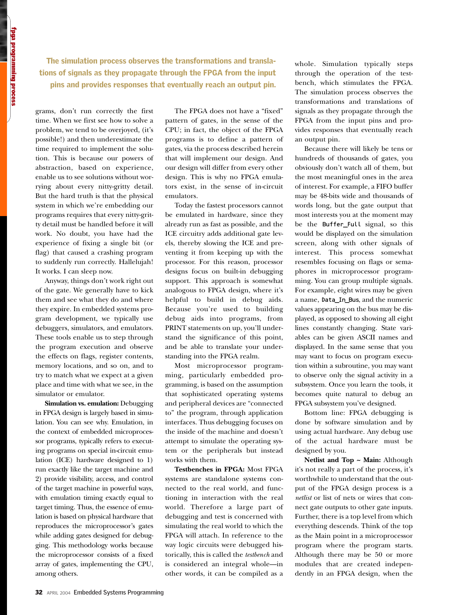The simulation process observes the transformations and translations of signals as they propagate through the FPGA from the input pins and provides responses that eventually reach an output pin.

grams, don't run correctly the first time. When we first see how to solve a problem, we tend to be overjoyed, (it's possible!) and then underestimate the time required to implement the solution. This is because our powers of abstraction, based on experience, enable us to see solutions without worrying about every nitty-gritty detail. But the hard truth is that the physical system in which we're embedding our programs requires that every nitty-gritty detail must be handled before it will work. No doubt, you have had the experience of fixing a single bit (or flag) that caused a crashing program to suddenly run correctly. Hallelujah! It works. I can sleep now.

Anyway, things don't work right out of the gate. We generally have to kick them and see what they do and where they expire. In embedded systems program development, we typically use debuggers, simulators, and emulators. These tools enable us to step through the program execution and observe the effects on flags, register contents, memory locations, and so on, and to try to match what we expect at a given place and time with what we see, in the simulator or emulator.

**Simulation vs. emulation:** Debugging in FPGA design is largely based in simulation. You can see why. Emulation, in the context of embedded microprocessor programs, typically refers to executing programs on special in-circuit emulation (ICE) hardware designed to 1) run exactly like the target machine and 2) provide visibility, access, and control of the target machine in powerful ways, with emulation timing exactly equal to target timing. Thus, the essence of emulation is based on physical hardware that reproduces the microprocessor's gates while adding gates designed for debugging. This methodology works because the microprocessor consists of a fixed array of gates, implementing the CPU, among others.

The FPGA does not have a "fixed" pattern of gates, in the sense of the CPU; in fact, the object of the FPGA programs is to define a pattern of gates, via the process described herein that will implement our design. And our design will differ from every other design. This is why no FPGA emulators exist, in the sense of in-circuit emulators.

Today the fastest processors cannot be emulated in hardware, since they already run as fast as possible, and the ICE circuitry adds additional gate levels, thereby slowing the ICE and preventing it from keeping up with the processor. For this reason, processor designs focus on built-in debugging support. This approach is somewhat analogous to FPGA design, where it's helpful to build in debug aids. Because you're used to building debug aids into programs, from PRINT statements on up, you'll understand the significance of this point, and be able to translate your understanding into the FPGA realm.

Most microprocessor programming, particularly embedded programming, is based on the assumption that sophisticated operating systems and peripheral devices are "connected to" the program, through application interfaces. Thus debugging focuses on the inside of the machine and doesn't attempt to simulate the operating system or the peripherals but instead works with them.

**Testbenches in FPGA:** Most FPGA systems are standalone systems connected to the real world, and functioning in interaction with the real world. Therefore a large part of debugging and test is concerned with simulating the real world to which the FPGA will attach. In reference to the way logic circuits were debugged historically, this is called the *testbench* and is considered an integral whole—in other words, it can be compiled as a

whole. Simulation typically steps through the operation of the testbench, which stimulates the FPGA. The simulation process observes the transformations and translations of signals as they propagate through the FPGA from the input pins and provides responses that eventually reach an output pin.

Because there will likely be tens or hundreds of thousands of gates, you obviously don't watch all of them, but the most meaningful ones in the area of interest. For example, a FIFO buffer may be 48-bits wide and thousands of words long, but the gate output that most interests you at the moment may be the Buffer\_Full signal, so this would be displayed on the simulation screen, along with other signals of interest. This process somewhat resembles focusing on flags or semaphores in microprocessor programming. You can group multiple signals. For example, eight wires may be given a name, Data\_In\_Bus, and the numeric values appearing on the bus may be displayed, as opposed to showing all eight lines constantly changing. State variables can be given ASCII names and displayed. In the same sense that you may want to focus on program execution within a subroutine, you may want to observe only the signal activity in a subsystem. Once you learn the tools, it becomes quite natural to debug an FPGA subsystem you've designed.

Bottom line: FPGA debugging is done by software simulation and by using actual hardware. Any debug use of the actual hardware must be designed by you.

**Netlist and Top ~ Main:** Although it's not really a part of the process, it's worthwhile to understand that the output of the FPGA design process is a *netlist* or list of nets or wires that connect gate outputs to other gate inputs. Further, there is a top level from which everything descends. Think of the top as the Main point in a microprocessor program where the program starts. Although there may be 50 or more modules that are created independently in an FPGA design, when the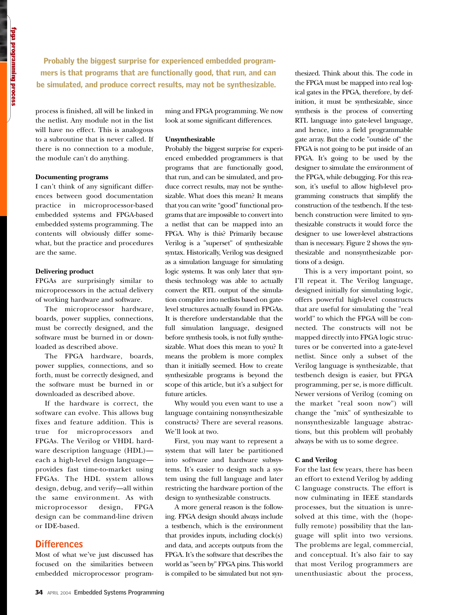Probably the biggest surprise for experienced embedded programmers is that programs that are functionally good, that run, and can be simulated, and produce correct results, may not be synthesizable.

process is finished, all will be linked in the netlist. Any module not in the list will have no effect. This is analogous to a subroutine that is never called. If there is no connection to a module, the module can't do anything.

# **Documenting programs**

I can't think of any significant differences between good documentation practice in microprocessor-based embedded systems and FPGA-based embedded systems programming. The contents will obviously differ somewhat, but the practice and procedures are the same.

## **Delivering product**

FPGAs are surprisingly similar to microprocessors in the actual delivery of working hardware and software.

The microprocessor hardware, boards, power supplies, connections, must be correctly designed, and the software must be burned in or downloaded as described above.

The FPGA hardware, boards, power supplies, connections, and so forth, must be correctly designed, and the software must be burned in or downloaded as described above.

If the hardware is correct, the software can evolve. This allows bug fixes and feature addition. This is true for microprocessors and FPGAs. The Verilog or VHDL hardware description language (HDL) each a high-level design language provides fast time-to-market using FPGAs. The HDL system allows design, debug, and verify—all within the same environment. As with microprocessor design, FPGA design can be command-line driven or IDE-based.

# **Differences**

Most of what we've just discussed has focused on the similarities between embedded microprocessor programming and FPGA programming. We now look at some significant differences.

# **Unsynthesizable**

Probably the biggest surprise for experienced embedded programmers is that programs that are functionally good, that run, and can be simulated, and produce correct results, may not be synthesizable. What does this mean? It means that you can write "good" functional programs that are impossible to convert into a netlist that can be mapped into an FPGA. Why is this? Primarily because Verilog is a "superset" of synthesizable syntax. Historically, Verilog was designed as a simulation language for simulating logic systems. It was only later that synthesis technology was able to actually convert the RTL output of the simulation compiler into netlists based on gatelevel structures actually found in FPGAs. It is therefore understandable that the full simulation language, designed before synthesis tools, is not fully synthesizable. What does this mean to you? It means the problem is more complex than it initially seemed. How to create synthesizable programs is beyond the scope of this article, but it's a subject for future articles.

Why would you even want to use a language containing nonsynthesizable constructs? There are several reasons. We'll look at two.

First, you may want to represent a system that will later be partitioned into software and hardware subsystems. It's easier to design such a system using the full language and later restricting the hardware portion of the design to synthesizable constructs.

A more general reason is the following. FPGA design should always include a testbench, which is the environment that provides inputs, including clock(s) and data, and accepts outputs from the FPGA. It's the software that describes the world as "seen by" FPGA pins. This world is compiled to be simulated but not synthesized. Think about this. The code in the FPGA must be mapped into real logical gates in the FPGA, therefore, by definition, it must be synthesizable, since synthesis is the process of converting RTL language into gate-level language, and hence, into a field programmable gate array. But the code "outside of" the FPGA is not going to be put inside of an FPGA. It's going to be used by the designer to simulate the environment of the FPGA, while debugging. For this reason, it's useful to allow high-level programming constructs that simplify the construction of the testbench. If the testbench construction were limited to synthesizable constructs it would force the designer to use lower-level abstractions than is necessary. Figure 2 shows the synthesizable and nonsynthesizable portions of a design.

This is a very important point, so I'll repeat it. The Verilog language, designed initially for simulating logic, offers powerful high-level constructs that are useful for simulating the "real world" to which the FPGA will be connected. The constructs will not be mapped directly into FPGA logic structures or be converted into a gate-level netlist. Since only a subset of the Verilog language is synthesizable, that testbench design is easier, but FPGA programming, per se, is more difficult. Newer versions of Verilog (coming on the market "real soon now") will change the "mix" of synthesizable to nonsynthesizable language abstractions, but this problem will probably always be with us to some degree.

#### **C and Verilog**

For the last few years, there has been an effort to extend Verilog by adding C language constructs. The effort is now culminating in IEEE standards processes, but the situation is unresolved at this time, with the (hopefully remote) possibility that the language will split into two versions. The problems are legal, commercial, and conceptual. It's also fair to say that most Verilog programmers are unenthusiastic about the process,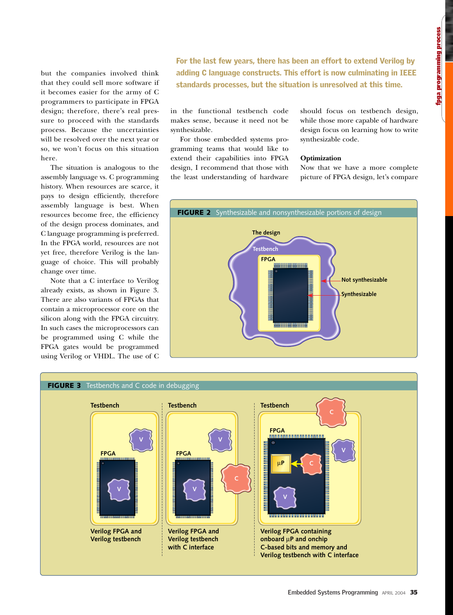but the companies involved think that they could sell more software if it becomes easier for the army of C programmers to participate in FPGA design; therefore, there's real pressure to proceed with the standards process. Because the uncertainties will be resolved over the next year or so, we won't focus on this situation here.

The situation is analogous to the assembly language vs. C programming history. When resources are scarce, it pays to design efficiently, therefore assembly language is best. When resources become free, the efficiency of the design process dominates, and C language programming is preferred. In the FPGA world, resources are not yet free, therefore Verilog is the language of choice. This will probably change over time.

Note that a C interface to Verilog already exists, as shown in Figure 3. There are also variants of FPGAs that contain a microprocessor core on the silicon along with the FPGA circuitry. In such cases the microprocessors can be programmed using C while the FPGA gates would be programmed using Verilog or VHDL. The use of C For the last few years, there has been an effort to extend Verilog by adding C language constructs. This effort is now culminating in IEEE standards processes, but the situation is unresolved at this time.

in the functional testbench code makes sense, because it need not be synthesizable.

For those embedded systems programming teams that would like to extend their capabilities into FPGA design, I recommend that those with the least understanding of hardware should focus on testbench design, while those more capable of hardware design focus on learning how to write synthesizable code.

#### **Optimization**

Now that we have a more complete picture of FPGA design, let's compare



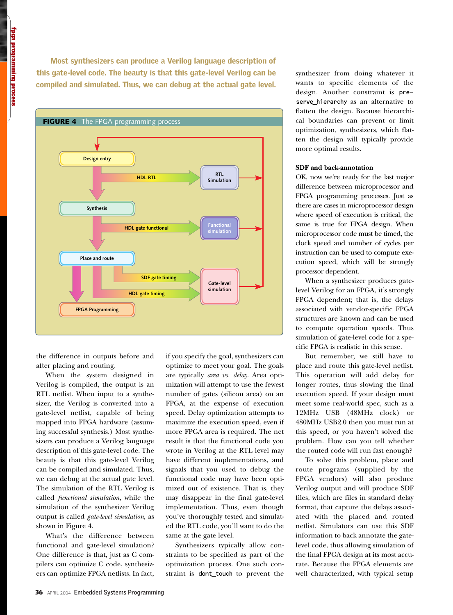Tpga programmung process fpga programming process

Most synthesizers can produce a Verilog language description of this gate-level code. The beauty is that this gate-level Verilog can be compiled and simulated. Thus, we can debug at the actual gate level.



the difference in outputs before and after placing and routing.

When the system designed in Verilog is compiled, the output is an RTL netlist. When input to a synthesizer, the Verilog is converted into a gate-level netlist, capable of being mapped into FPGA hardware (assuming successful synthesis.) Most synthesizers can produce a Verilog language description of this gate-level code. The beauty is that this gate-level Verilog can be compiled and simulated. Thus, we can debug at the actual gate level. The simulation of the RTL Verilog is called *functional simulation*, while the simulation of the synthesizer Verilog output is called *gate-level simulation*, as shown in Figure 4.

What's the difference between functional and gate-level simulation? One difference is that, just as C compilers can optimize C code, synthesizers can optimize FPGA netlists. In fact,

if you specify the goal, synthesizers can optimize to meet your goal. The goals are typically *area vs. delay*. Area optimization will attempt to use the fewest number of gates (silicon area) on an FPGA, at the expense of execution speed. Delay optimization attempts to maximize the execution speed, even if more FPGA area is required. The net result is that the functional code you wrote in Verilog at the RTL level may have different implementations, and signals that you used to debug the functional code may have been optimized out of existence. That is, they may disappear in the final gate-level implementation. Thus, even though you've thoroughly tested and simulated the RTL code, you'll want to do the same at the gate level.

Synthesizers typically allow constraints to be specified as part of the optimization process. One such constraint is dont\_touch to prevent the

synthesizer from doing whatever it wants to specific elements of the design. Another constraint is preserve\_hierarchy as an alternative to flatten the design. Because hierarchical boundaries can prevent or limit optimization, synthesizers, which flatten the design will typically provide more optimal results.

### **SDF and back-annotation**

OK, now we're ready for the last major difference between microprocessor and FPGA programming processes. Just as there are cases in microprocessor design where speed of execution is critical, the same is true for FPGA design. When microprocessor code must be timed, the clock speed and number of cycles per instruction can be used to compute execution speed, which will be strongly processor dependent.

When a synthesizer produces gatelevel Verilog for an FPGA, it's strongly FPGA dependent; that is, the delays associated with vendor-specific FPGA structures are known and can be used to compute operation speeds. Thus simulation of gate-level code for a specific FPGA is realistic in this sense.

But remember, we still have to place and route this gate-level netlist. This operation will add delay for longer routes, thus slowing the final execution speed. If your design must meet some real-world spec, such as a 12MHz USB (48MHz clock) or 480MHz USB2.0 then you must run at this speed, or you haven't solved the problem. How can you tell whether the routed code will run fast enough?

To solve this problem, place and route programs (supplied by the FPGA vendors) will also produce Verilog output and will produce SDF files, which are files in standard delay format, that capture the delays associated with the placed and routed netlist. Simulators can use this SDF information to back annotate the gatelevel code, thus allowing simulation of the final FPGA design at its most accurate. Because the FPGA elements are well characterized, with typical setup